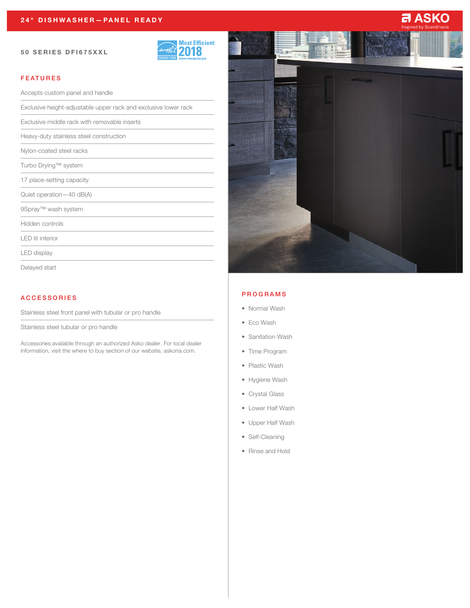#### 50 SERIES DFI675XXL



# FEATURES

Accepts custom panel and handle

Exclusive height-adjustable upper rack and exclusive lower rack

Exclusive middle rack with removable inserts

Heavy-duty stainless steel construction

Nylon-coated steel racks

Turbo Drying™ system

17 place-setting capacity

Quiet operation—40 dB(A)

9Spray™ wash system

Hidden controls

LED lit interior

LED display

Delayed start

## ACCESSORIES

Stainless steel front panel with tubular or pro handle

Stainless steel tubular or pro handle

Accessories available through an authorized Asko dealer. For local dealer information, visit the where to buy section of our website, askona.com.



### PROGRAMS

- Normal Wash
- Eco Wash
- Sanitation Wash
- Time Program
- Plastic Wash
- Hygiene Wash
- Crystal Glass
- Lower Half Wash
- Upper Half Wash
- Self-Cleaning
- Rinse and Hold